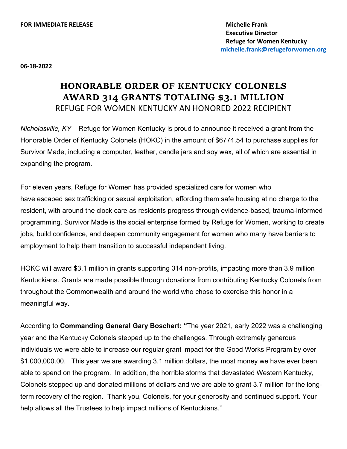**06-18-2022**

## **HONORABLE ORDER OF KENTUCKY COLONELS AWARD 314 GRANTS TOTALING \$3.1 MILLION** REFUGE FOR WOMEN KENTUCKY AN HONORED 2022 RECIPIENT

*Nicholasville, KY –* Refuge for Women Kentucky is proud to announce it received a grant from the Honorable Order of Kentucky Colonels (HOKC) in the amount of \$6774.54 to purchase supplies for Survivor Made, including a computer, leather, candle jars and soy wax, all of which are essential in expanding the program.

For eleven years, Refuge for Women has provided specialized care for women who have escaped sex trafficking or sexual exploitation, affording them safe housing at no charge to the resident, with around the clock care as residents progress through evidence-based, trauma-informed programming. Survivor Made is the social enterprise formed by Refuge for Women, working to create jobs, build confidence, and deepen community engagement for women who many have barriers to employment to help them transition to successful independent living.

HOKC will award \$3.1 million in grants supporting 314 non-profits, impacting more than 3.9 million Kentuckians. Grants are made possible through donations from contributing Kentucky Colonels from throughout the Commonwealth and around the world who chose to exercise this honor in a meaningful way.

According to **Commanding General Gary Boschert: "**The year 2021, early 2022 was a challenging year and the Kentucky Colonels stepped up to the challenges. Through extremely generous individuals we were able to increase our regular grant impact for the Good Works Program by over \$1,000,000.00. This year we are awarding 3.1 million dollars, the most money we have ever been able to spend on the program. In addition, the horrible storms that devastated Western Kentucky, Colonels stepped up and donated millions of dollars and we are able to grant 3.7 million for the longterm recovery of the region. Thank you, Colonels, for your generosity and continued support. Your help allows all the Trustees to help impact millions of Kentuckians."